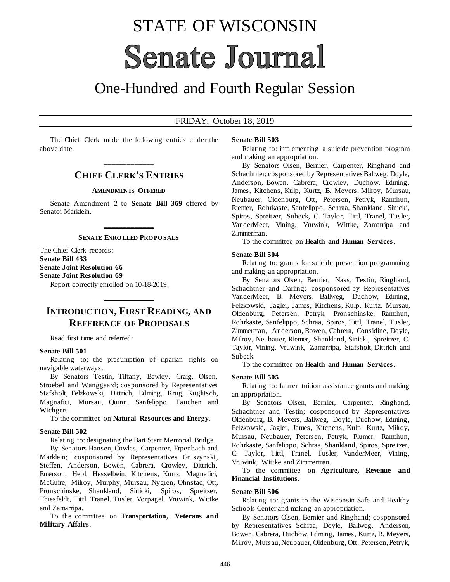# STATE OF WISCONSIN **Senate Journal**

## One-Hundred and Fourth Regular Session

#### FRIDAY, October 18, 2019

The Chief Clerk made the following entries under the above date.

## **\_\_\_\_\_\_\_\_\_\_\_\_\_ CHIEF CLERK'S ENTRIES**

#### **AMENDMENTS OFFERED**

Senate Amendment 2 to **Senate Bill 369** offered by Senator Marklein.

## **\_\_\_\_\_\_\_\_\_\_\_\_\_ SENATE ENRO LLED PRO PO SALS**

The Chief Clerk records: **Senate Bill 433 Senate Joint Resolution 66 Senate Joint Resolution 69**

Report correctly enrolled on 10-18-2019.

## **INTRODUCTION, FIRST READING, AND REFERENCE OF PROPOSALS**

**\_\_\_\_\_\_\_\_\_\_\_\_\_**

Read first time and referred:

#### **Senate Bill 501**

Relating to: the presumption of riparian rights on navigable waterways.

By Senators Testin, Tiffany, Bewley, Craig, Olsen, Stroebel and Wanggaard; cosponsored by Representatives Stafsholt, Felzkowski, Dittrich, Edming, Krug, Kuglitsch, Magnafici, Mursau, Quinn, Sanfelippo, Tauchen and Wichgers.

To the committee on **Natural Resources and Energy**.

#### **Senate Bill 502**

Relating to: designating the Bart Starr Memorial Bridge.

By Senators Hansen, Cowles, Carpenter, Erpenbach and Marklein; cosponsored by Representatives Gruszynski, Steffen, Anderson, Bowen, Cabrera, Crowley, Dittrich, Emerson, Hebl, Hesselbein, Kitchens, Kurtz, Magnafici, McGuire, Milroy, Murphy, Mursau, Nygren, Ohnstad, Ott, Pronschinske, Shankland, Sinicki, Spiros, Spreitzer, Thiesfeldt, Tittl, Tranel, Tusler, Vorpagel, Vruwink, Wittke and Zamarripa.

To the committee on **Transportation, Veterans and Military Affairs**.

#### **Senate Bill 503**

Relating to: implementing a suicide prevention program and making an appropriation.

By Senators Olsen, Bernier, Carpenter, Ringhand and Schachtner; cosponsored by Representatives Ballweg, Doyle, Anderson, Bowen, Cabrera, Crowley, Duchow, Edming, James, Kitchens, Kulp, Kurtz, B. Meyers, Milroy, Mursau, Neubauer, Oldenburg, Ott, Petersen, Petryk, Ramthun, Riemer, Rohrkaste, Sanfelippo, Schraa, Shankland, Sinicki, Spiros, Spreitzer, Subeck, C. Taylor, Tittl, Tranel, Tusler, VanderMeer, Vining, Vruwink, Wittke, Zamarripa and Zimmerman.

To the committee on **Health and Human Services**.

#### **Senate Bill 504**

Relating to: grants for suicide prevention programming and making an appropriation.

By Senators Olsen, Bernier, Nass, Testin, Ringhand, Schachtner and Darling; cosponsored by Representatives VanderMeer, B. Meyers, Ballweg, Duchow, Edming, Felzkowski, Jagler, James, Kitchens, Kulp, Kurtz, Mursau, Oldenburg, Petersen, Petryk, Pronschinske, Ramthun, Rohrkaste, Sanfelippo, Schraa, Spiros, Tittl, Tranel, Tusler, Zimmerman, Anderson, Bowen, Cabrera, Considine, Doyle, Milroy, Neubauer, Riemer, Shankland, Sinicki, Spreitzer, C. Taylor, Vining, Vruwink, Zamarripa, Stafsholt, Dittrich and Subeck.

To the committee on **Health and Human Services**.

#### **Senate Bill 505**

Relating to: farmer tuition assistance grants and making an appropriation.

By Senators Olsen, Bernier, Carpenter, Ringhand, Schachtner and Testin; cosponsored by Representatives Oldenburg, B. Meyers, Ballweg, Doyle, Duchow, Edming, Felzkowski, Jagler, James, Kitchens, Kulp, Kurtz, Milroy, Mursau, Neubauer, Petersen, Petryk, Plumer, Ramthun, Rohrkaste, Sanfelippo, Schraa, Shankland, Spiros, Spreitzer, C. Taylor, Tittl, Tranel, Tusler, VanderMeer, Vining, Vruwink, Wittke and Zimmerman.

To the committee on **Agriculture, Revenue and Financial Institutions**.

#### **Senate Bill 506**

Relating to: grants to the Wisconsin Safe and Healthy Schools Center and making an appropriation.

By Senators Olsen, Bernier and Ringhand; cosponsored by Representatives Schraa, Doyle, Ballweg, Anderson, Bowen, Cabrera, Duchow, Edming, James, Kurtz, B. Meyers, Milroy, Mursau, Neubauer, Oldenburg, Ott, Petersen, Petryk,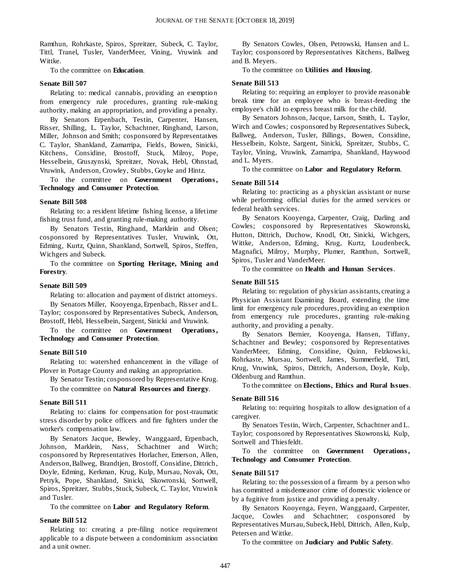Ramthun, Rohrkaste, Spiros, Spreitzer, Subeck, C. Taylor, Tittl, Tranel, Tusler, VanderMeer, Vining, Vruwink and Wittke.

To the committee on **Education**.

#### **Senate Bill 507**

Relating to: medical cannabis, providing an exemption from emergency rule procedures, granting rule-making authority, making an appropriation, and providing a penalty.

By Senators Erpenbach, Testin, Carpenter, Hansen, Risser, Shilling, L. Taylor, Schachtner, Ringhand, Larson, Miller, Johnson and Smith; cosponsored by Representatives C. Taylor, Shankland, Zamarripa, Fields, Bowen, Sinicki, Kitchens, Considine, Brostoff, Stuck, Milroy, Pope, Hesselbein, Gruszynski, Spreitzer, Novak, Hebl, Ohnstad, Vruwink, Anderson, Crowley, Stubbs, Goyke and Hintz.

To the committee on **Government Operations , Technology and Consumer Protection**.

#### **Senate Bill 508**

Relating to: a resident lifetime fishing license, a lifetime fishing trust fund, and granting rule-making authority.

By Senators Testin, Ringhand, Marklein and Olsen; cosponsored by Representatives Tusler, Vruwink, Ott, Edming, Kurtz, Quinn, Shankland, Sortwell, Spiros, Steffen, Wichgers and Subeck.

To the committee on **Sporting Heritage, Mining and Forestry**.

#### **Senate Bill 509**

Relating to: allocation and payment of district attorneys.

By Senators Miller, Kooyenga, Erpenbach, Risser and L. Taylor; cosponsored by Representatives Subeck, Anderson, Brostoff, Hebl, Hesselbein, Sargent, Sinicki and Vruwink.

To the committee on **Government Operations , Technology and Consumer Protection**.

#### **Senate Bill 510**

Relating to: watershed enhancement in the village of Plover in Portage County and making an appropriation.

By Senator Testin; cosponsored by Representative Krug. To the committee on **Natural Resources and Energy**.

#### **Senate Bill 511**

Relating to: claims for compensation for post-traumatic stress disorder by police officers and fire fighters under the worker's compensation law.

By Senators Jacque, Bewley, Wanggaard, Erpenbach, Johnson, Marklein, Nass, Schachtner and Wirch; cosponsored by Representatives Horlacher, Emerson, Allen, Anderson, Ballweg, Brandtjen, Brostoff, Considine, Dittrich, Doyle, Edming, Kerkman, Krug, Kulp, Mursau, Novak, Ott, Petryk, Pope, Shankland, Sinicki, Skowronski, Sortwell, Spiros, Spreitzer, Stubbs, Stuck, Subeck, C. Taylor, Vruwink and Tusler.

#### To the committee on **Labor and Regulatory Reform**.

#### **Senate Bill 512**

Relating to: creating a pre-filing notice requirement applicable to a dispute between a condominium association and a unit owner.

By Senators Cowles, Olsen, Petrowski, Hansen and L. Taylor; cosponsored by Representatives Kitchens, Ballweg and B. Meyers.

#### To the committee on **Utilities and Housing**.

#### **Senate Bill 513**

Relating to: requiring an employer to provide reasonable break time for an employee who is breast-feeding the employee's child to express breast milk for the child.

By Senators Johnson, Jacque, Larson, Smith, L. Taylor, Wirch and Cowles; cosponsored by Representatives Subeck, Ballweg, Anderson, Tusler, Billings, Bowen, Considine, Hesselbein, Kolste, Sargent, Sinicki, Spreitzer, Stubbs, C. Taylor, Vining, Vruwink, Zamarripa, Shankland, Haywood and L. Myers.

To the committee on **Labor and Regulatory Reform**.

#### **Senate Bill 514**

Relating to: practicing as a physician assistant or nurse while performing official duties for the armed services or federal health services.

By Senators Kooyenga, Carpenter, Craig, Darling and Cowles; cosponsored by Representatives Skowronski, Hutton, Dittrich, Duchow, Knodl, Ott, Sinicki, Wichgers, Wittke, Anderson, Edming, Krug, Kurtz, Loudenbeck, Magnafici, Milroy, Murphy, Plumer, Ramthun, Sortwell, Spiros, Tusler and VanderMeer.

To the committee on **Health and Human Services**.

#### **Senate Bill 515**

Relating to: regulation of physician assistants, creating a Physician Assistant Examining Board, extending the time limit for emergency rule procedures, providing an exemption from emergency rule procedures, granting rule-making authority, and providing a penalty.

By Senators Bernier, Kooyenga, Hansen, Tiffany, Schachtner and Bewley; cosponsored by Representatives VanderMeer, Edming, Considine, Quinn, Felzkows ki, Rohrkaste, Mursau, Sortwell, James, Summerfield, Tittl, Krug, Vruwink, Spiros, Dittrich, Anderson, Doyle, Kulp, Oldenburg and Ramthun.

To the committee on **Elections, Ethics and Rural Issues**.

#### **Senate Bill 516**

Relating to: requiring hospitals to allow designation of a caregiver.

By Senators Testin, Wirch, Carpenter, Schachtner and L. Taylor; cosponsored by Representatives Skowronski, Kulp, Sortwell and Thiesfeldt.

To the committee on **Government Operations**, **Technology and Consumer Protection**.

#### **Senate Bill 517**

Relating to: the possession of a firearm by a person who has committed a misdemeanor crime of domestic violence or by a fugitive from justice and providing a penalty.

By Senators Kooyenga, Feyen, Wanggaard, Carpenter, Jacque, Cowles and Schachtner; cosponsored by Representatives Mursau, Subeck, Hebl, Dittrich, Allen, Kulp, Petersen and Wittke.

To the committee on **Judiciary and Public Safety**.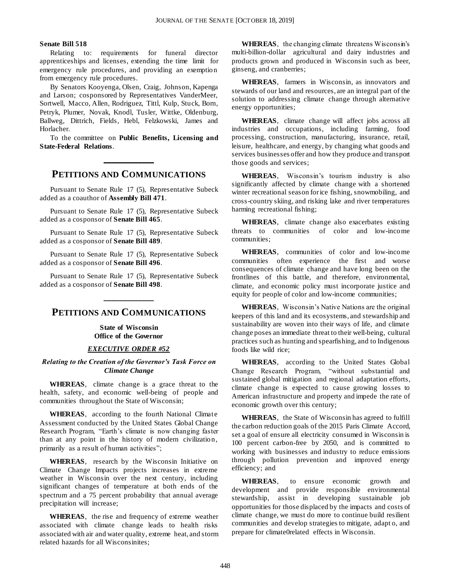#### **Senate Bill 518**

Relating to: requirements for funeral director apprenticeships and licenses, extending the time limit for emergency rule procedures, and providing an exemption from emergency rule procedures.

By Senators Kooyenga, Olsen, Craig, Johnson, Kapenga and Larson; cosponsored by Representatives VanderMeer, Sortwell, Macco, Allen, Rodriguez, Tittl, Kulp, Stuck, Born, Petryk, Plumer, Novak, Knodl, Tusler, Wittke, Oldenburg, Ballweg, Dittrich, Fields, Hebl, Felzkowski, James and Horlacher.

To the committee on **Public Benefits, Licensing and State-Federal Relations**.

## **\_\_\_\_\_\_\_\_\_\_\_\_\_ PETITIONS AND COMMUNICATIONS**

Pursuant to Senate Rule 17 (5), Representative Subeck added as a coauthor of **Assembly Bill 471**.

Pursuant to Senate Rule 17 (5), Representative Subeck added as a cosponsor of **Senate Bill 465**.

Pursuant to Senate Rule 17 (5), Representative Subeck added as a cosponsor of **Senate Bill 489**.

Pursuant to Senate Rule 17 (5), Representative Subeck added as a cosponsor of **Senate Bill 496**.

Pursuant to Senate Rule 17 (5), Representative Subeck added as a cosponsor of **Senate Bill 498**.

## **PETITIONS AND COMMUNICATIONS**

**\_\_\_\_\_\_\_\_\_\_\_\_\_**

**State of Wisconsin Office of the Governor**

#### *EXECUTIVE ORDER #52*

#### *Relating to the Creation of the Governor's Task Force on Climate Change*

**WHEREAS**, climate change is a grace threat to the health, safety, and economic well-being of people and communities throughout the State of Wisconsin;

**WHEREAS**, according to the fourth National Climate Assessment conducted by the United States Global Change Research Program, "Earth's climate is now changing faster than at any point in the history of modern civilization, primarily as a result of human activities";

**WHEREAS**, research by the Wisconsin Initiative on Climate Change Impacts projects increases in extreme weather in Wisconsin over the next century, including significant changes of temperature at both ends of the spectrum and a 75 percent probability that annual average precipitation will increase;

**WHEREAS**, the rise and frequency of extreme weather associated with climate change leads to health risks associated with air and water quality, extreme heat, and storm related hazards for all Wisconsinites;

**WHEREAS**, the changing climate threatens Wisconsin's multi-billion-dollar agricultural and dairy industries and products grown and produced in Wisconsin such as beer, ginseng, and cranberries;

**WHEREAS**, farmers in Wisconsin, as innovators and stewards of our land and resources, are an integral part of the solution to addressing climate change through alternative energy opportunities;

**WHEREAS**, climate change will affect jobs across all industries and occupations, including farming, food processing, construction, manufacturing, insurance, retail, leisure, healthcare, and energy, by changing what goods and services businesses offer and how they produce and transport those goods and services;

**WHEREAS**, Wisconsin's tourism industry is also significantly affected by climate change with a shortened winter recreational season for ice fishing, snowmobiling, and cross-country skiing, and risking lake and river temperatures harming recreational fishing;

**WHEREAS**, climate change also exacerbates existing threats to communities of color and low-income communities;

**WHEREAS**, communities of color and low-income communities often experience the first and worse consequences of climate change and have long been on the frontlines of this battle, and therefore, environmental, climate, and economic policy must incorporate justice and equity for people of color and low-income communities;

**WHEREAS**, Wisconsin's Native Nations are the original keepers of this land and its ecosystems, and stewardship and sustainability are woven into their ways of life, and climate change poses an immediate threat to their well-being, cultural practices such as hunting and spearfishing, and to Indigenous foods like wild rice;

**WHEREAS**, according to the United States Global Change Research Program, "without substantial and sustained global mitigation and regional adaptation efforts, climate change is expected to cause growing losses to American infrastructure and property and impede the rate of economic growth over this century;

**WHEREAS**, the State of Wisconsin has agreed to fulfill the carbon reduction goals of the 2015 Paris Climate Accord, set a goal of ensure all electricity consumed in Wisconsin is 100 percent carbon-free by 2050, and is committed to working with businesses and industry to reduce emissions through pollution prevention and improved energy efficiency; and

**WHEREAS**, to ensure economic growth and development and provide responsible environmental stewardship, assist in developing sustainable job opportunities for those displaced by the impacts and costs of climate change, we must do more to continue build resilient communities and develop strategies to mitigate, adapt o, and prepare for climate0related effects in Wisconsin.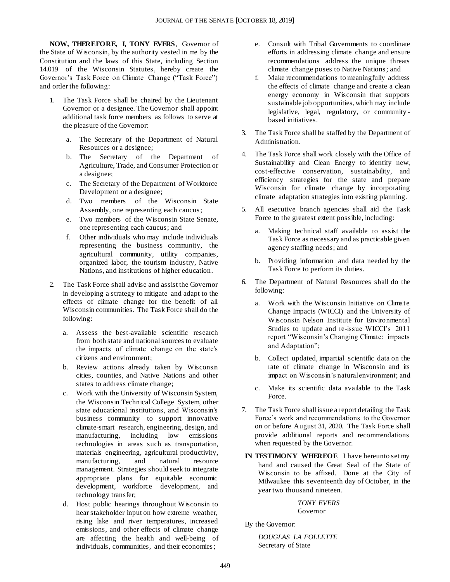**NOW, THEREFORE, I, TONY EVERS**, Governor of the State of Wisconsin, by the authority vested in me by the Constitution and the laws of this State, including Section 14.019 of the Wisconsin Statutes, hereby create the Governor's Task Force on Climate Change ("Task Force") and order the following:

- 1. The Task Force shall be chaired by the Lieutenant Governor or a designee. The Governor shall appoint additional task force members as follows to serve at the pleasure of the Governor:
	- a. The Secretary of the Department of Natural Resources or a designee;
	- b. The Secretary of the Department of Agriculture, Trade, and Consumer Protection or a designee;
	- c. The Secretary of the Department of Workforce Development or a designee;
	- d. Two members of the Wisconsin State Assembly, one representing each caucus;
	- e. Two members of the Wisconsin State Senate, one representing each caucus; and
	- f. Other individuals who may include individuals representing the business community, the agricultural community, utility companies, organized labor, the tourism industry, Native Nations, and institutions of higher education.
- 2. The Task Force shall advise and assist the Governor in developing a strategy to mitigate and adapt to the effects of climate change for the benefit of all Wisconsin communities. The Task Force shall do the following:
	- a. Assess the best-available scientific research from both state and national sources to evaluate the impacts of climate change on the state's citizens and environment;
	- b. Review actions already taken by Wisconsin cities, counties, and Native Nations and other states to address climate change;
	- c. Work with the University of Wisconsin System, the Wisconsin Technical College System, other state educational institutions, and Wisconsin's business community to support innovative climate-smart research, engineering, design, and manufacturing, including low emissions technologies in areas such as transportation, materials engineering, agricultural productivity, manufacturing, and natural resource management. Strategies should seek to integrate appropriate plans for equitable economic development, workforce development, and technology transfer;
	- d. Host public hearings throughout Wisconsin to hear stakeholder input on how extreme weather, rising lake and river temperatures, increased emissions, and other effects of climate change are affecting the health and well-being of individuals, communities, and their economies;
- e. Consult with Tribal Governments to coordinate efforts in addressing climate change and ensure recommendations address the unique threats climate change poses to Native Nations; and
- f. Make recommendations to meaningfully address the effects of climate change and create a clean energy economy in Wisconsin that supports sustainable job opportunities, which may include legislative, legal, regulatory, or community based initiatives.
- 3. The Task Force shall be staffed by the Department of Administration.
- 4. The Task Force shall work closely with the Office of Sustainability and Clean Energy to identify new, cost-effective conservation, sustainability, and efficiency strategies for the state and prepare Wisconsin for climate change by incorporating climate adaptation strategies into existing planning.
- 5. All executive branch agencies shall aid the Task Force to the greatest extent possible, including:
	- a. Making technical staff available to assist the Task Force as necessary and as practicable given agency staffing needs; and
	- b. Providing information and data needed by the Task Force to perform its duties.
- 6. The Department of Natural Resources shall do the following:
	- a. Work with the Wisconsin Initiative on Climate Change Impacts (WICCI) and the University of Wisconsin Nelson Institute for Environmental Studies to update and re-issue WICCI's 2011 report "Wisconsin's Changing Climate: impacts and Adaptation";
	- b. Collect updated, impartial scientific data on the rate of climate change in Wisconsin and its impact on Wisconsin's natural environment; and
	- c. Make its scientific data available to the Task Force.
- 7. The Task Force shall issue a report detailing the Task Force's work and recommendations to the Governor on or before August 31, 2020. The Task Force shall provide additional reports and recommendations when requested by the Governor.
- **IN TESTIMONY WHEREOF**, I have hereunto set my hand and caused the Great Seal of the State of Wisconsin to be affixed. Done at the City of Milwaukee this seventeenth day of October, in the year two thousand nineteen.

*TONY EVERS* Governor

By the Governor:

*DOUGLAS LA FOLLETTE* Secretary of State